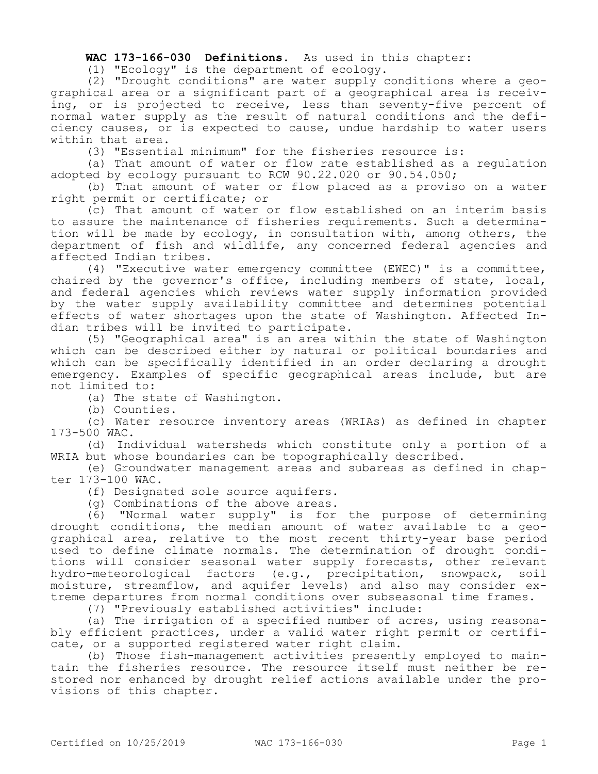## **WAC 173-166-030 Definitions.** As used in this chapter:

(1) "Ecology" is the department of ecology.

(2) "Drought conditions" are water supply conditions where a geographical area or a significant part of a geographical area is receiving, or is projected to receive, less than seventy-five percent of normal water supply as the result of natural conditions and the deficiency causes, or is expected to cause, undue hardship to water users within that area.

(3) "Essential minimum" for the fisheries resource is:

(a) That amount of water or flow rate established as a regulation adopted by ecology pursuant to RCW 90.22.020 or 90.54.050;

(b) That amount of water or flow placed as a proviso on a water right permit or certificate; or

(c) That amount of water or flow established on an interim basis to assure the maintenance of fisheries requirements. Such a determination will be made by ecology, in consultation with, among others, the department of fish and wildlife, any concerned federal agencies and affected Indian tribes.

(4) "Executive water emergency committee (EWEC)" is a committee, chaired by the governor's office, including members of state, local, and federal agencies which reviews water supply information provided by the water supply availability committee and determines potential effects of water shortages upon the state of Washington. Affected Indian tribes will be invited to participate.

(5) "Geographical area" is an area within the state of Washington which can be described either by natural or political boundaries and which can be specifically identified in an order declaring a drought emergency. Examples of specific geographical areas include, but are not limited to:

(a) The state of Washington.

(b) Counties.

(c) Water resource inventory areas (WRIAs) as defined in chapter 173-500 WAC.

(d) Individual watersheds which constitute only a portion of a WRIA but whose boundaries can be topographically described.

(e) Groundwater management areas and subareas as defined in chapter 173-100 WAC.

(f) Designated sole source aquifers.

(g) Combinations of the above areas.

(6) "Normal water supply" is for the purpose of determining drought conditions, the median amount of water available to a geographical area, relative to the most recent thirty-year base period used to define climate normals. The determination of drought conditions will consider seasonal water supply forecasts, other relevant<br>hydro-meteorological factors (e.g., precipitation, snowpack, soil hydro-meteorological factors (e.g., precipitation, snowpack, moisture, streamflow, and aquifer levels) and also may consider extreme departures from normal conditions over subseasonal time frames.

(7) "Previously established activities" include:

(a) The irrigation of a specified number of acres, using reasonably efficient practices, under a valid water right permit or certificate, or a supported registered water right claim.

(b) Those fish-management activities presently employed to maintain the fisheries resource. The resource itself must neither be restored nor enhanced by drought relief actions available under the provisions of this chapter.